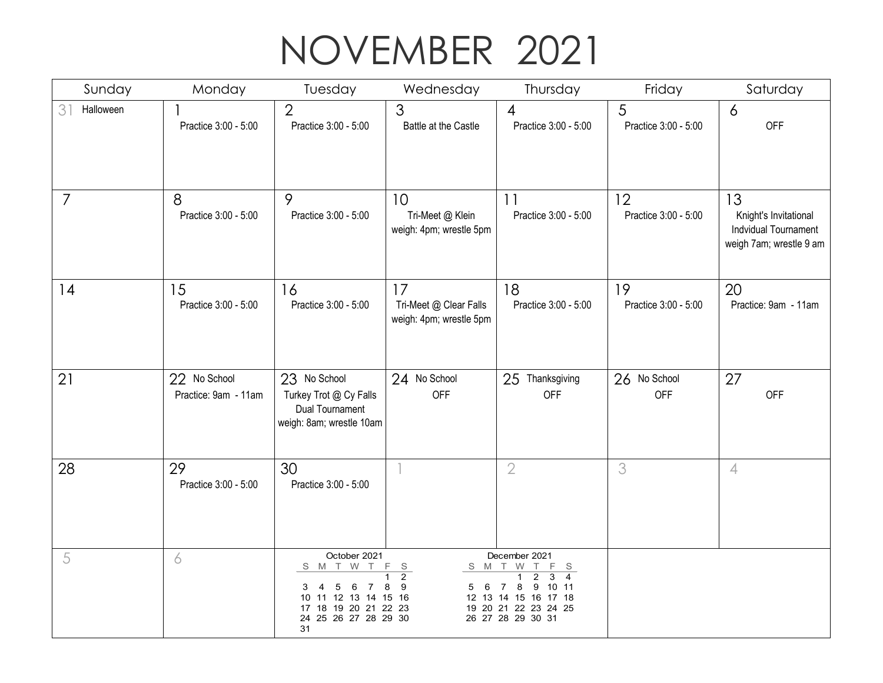## NOVEMBER 2021

| Sunday                      | Monday                               | Tuesday                                                                                                                           | Wednesday                                               | Thursday                                                                                                                                                        | Friday                     | Saturday                                                                       |
|-----------------------------|--------------------------------------|-----------------------------------------------------------------------------------------------------------------------------------|---------------------------------------------------------|-----------------------------------------------------------------------------------------------------------------------------------------------------------------|----------------------------|--------------------------------------------------------------------------------|
| 3 <sup>1</sup><br>Halloween | Practice 3:00 - 5:00                 | $\overline{2}$<br>Practice 3:00 - 5:00                                                                                            | 3<br>Battle at the Castle                               | $\overline{4}$<br>Practice 3:00 - 5:00                                                                                                                          | 5<br>Practice 3:00 - 5:00  | 6<br><b>OFF</b>                                                                |
| $\overline{7}$              | 8<br>Practice 3:00 - 5:00            | 9<br>Practice 3:00 - 5:00                                                                                                         | 10<br>Tri-Meet @ Klein<br>weigh: 4pm; wrestle 5pm       | 11<br>Practice 3:00 - 5:00                                                                                                                                      | 12<br>Practice 3:00 - 5:00 | 13<br>Knight's Invitational<br>Indvidual Tournament<br>weigh 7am; wrestle 9 am |
| 14                          | 15<br>Practice 3:00 - 5:00           | 16<br>Practice 3:00 - 5:00                                                                                                        | 17<br>Tri-Meet @ Clear Falls<br>weigh: 4pm; wrestle 5pm | 18<br>Practice 3:00 - 5:00                                                                                                                                      | 19<br>Practice 3:00 - 5:00 | 20<br>Practice: 9am - 11am                                                     |
| 21                          | 22 No School<br>Practice: 9am - 11am | 23 No School<br>Turkey Trot @ Cy Falls<br><b>Dual Tournament</b><br>weigh: 8am; wrestle 10am                                      | 24 No School<br><b>OFF</b>                              | Thanksgiving<br>25<br><b>OFF</b>                                                                                                                                | 26 No School<br><b>OFF</b> | 27<br><b>OFF</b>                                                               |
| 28                          | 29<br>Practice 3:00 - 5:00           | 30<br>Practice 3:00 - 5:00                                                                                                        |                                                         | $\overline{2}$                                                                                                                                                  | 3                          | $\overline{4}$                                                                 |
| 5                           | 6                                    | October 2021<br>S M T W T<br>5<br>3<br>-4<br>6<br>7<br>10 11 12 13 14 15 16<br>17 18 19 20 21 22 23<br>24 25 26 27 28 29 30<br>31 | F S<br>$\overline{2}$<br>9<br>8<br>- 6<br>5             | December 2021<br>S M T W T<br>F S<br>$\overline{c}$<br>3<br>4<br>1<br>9<br>10 11<br>8<br>7<br>12 13 14 15 16 17 18<br>19 20 21 22 23 24 25<br>26 27 28 29 30 31 |                            |                                                                                |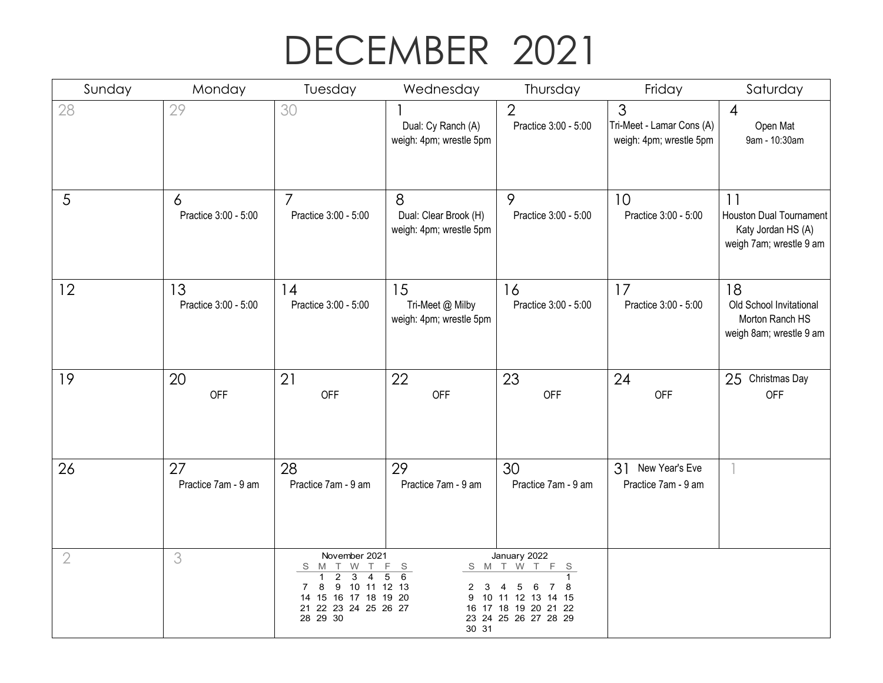## DECEMBER 2021

| Sunday         | Monday                     | Tuesday                                                                                                                                                                          | Wednesday                                             | Thursday                                                                                                                     | Friday                                                                 | Saturday                                                                              |
|----------------|----------------------------|----------------------------------------------------------------------------------------------------------------------------------------------------------------------------------|-------------------------------------------------------|------------------------------------------------------------------------------------------------------------------------------|------------------------------------------------------------------------|---------------------------------------------------------------------------------------|
| 28             | 29                         | 30                                                                                                                                                                               | Dual: Cy Ranch (A)<br>weigh: 4pm; wrestle 5pm         | $\overline{2}$<br>Practice 3:00 - 5:00                                                                                       | $\mathfrak{S}$<br>Tri-Meet - Lamar Cons (A)<br>weigh: 4pm; wrestle 5pm | $\overline{4}$<br>Open Mat<br>9am - 10:30am                                           |
| 5              | 6<br>Practice 3:00 - 5:00  | $\overline{7}$<br>Practice 3:00 - 5:00                                                                                                                                           | 8<br>Dual: Clear Brook (H)<br>weigh: 4pm; wrestle 5pm | 9<br>Practice 3:00 - 5:00                                                                                                    | 10<br>Practice 3:00 - 5:00                                             | 11<br><b>Houston Dual Tournament</b><br>Katy Jordan HS (A)<br>weigh 7am; wrestle 9 am |
| 12             | 13<br>Practice 3:00 - 5:00 | 14<br>Practice 3:00 - 5:00                                                                                                                                                       | 15<br>Tri-Meet @ Milby<br>weigh: 4pm; wrestle 5pm     | 16<br>Practice 3:00 - 5:00                                                                                                   | 17<br>Practice 3:00 - 5:00                                             | 18<br>Old School Invitational<br>Morton Ranch HS<br>weigh 8am; wrestle 9 am           |
| 19             | 20<br><b>OFF</b>           | 21<br>OFF                                                                                                                                                                        | 22<br><b>OFF</b>                                      | 23<br><b>OFF</b>                                                                                                             | 24<br>OFF                                                              | 25 Christmas Day<br><b>OFF</b>                                                        |
| 26             | 27<br>Practice 7am - 9 am  | 28<br>Practice 7am - 9 am                                                                                                                                                        | 29<br>Practice 7am - 9 am                             | 30<br>Practice 7am - 9 am                                                                                                    | 31<br>New Year's Eve<br>Practice 7am - 9 am                            |                                                                                       |
| $\overline{2}$ | 3                          | November 2021<br>S M T W T<br>$\overline{\overline{3}}$<br>2<br>$\overline{4}$<br>1<br>9 10 11 12 13<br>8<br>7<br>15<br>16 17 18 19 20<br>14<br>21 22 23 24 25 26 27<br>28 29 30 | F S<br>5<br>6<br>2<br>3<br>30 31                      | January 2022<br>F<br>S M T W T<br>S<br>1<br>8<br>5<br>6<br>10 11 12 13 14 15<br>16 17 18 19 20 21 22<br>23 24 25 26 27 28 29 |                                                                        |                                                                                       |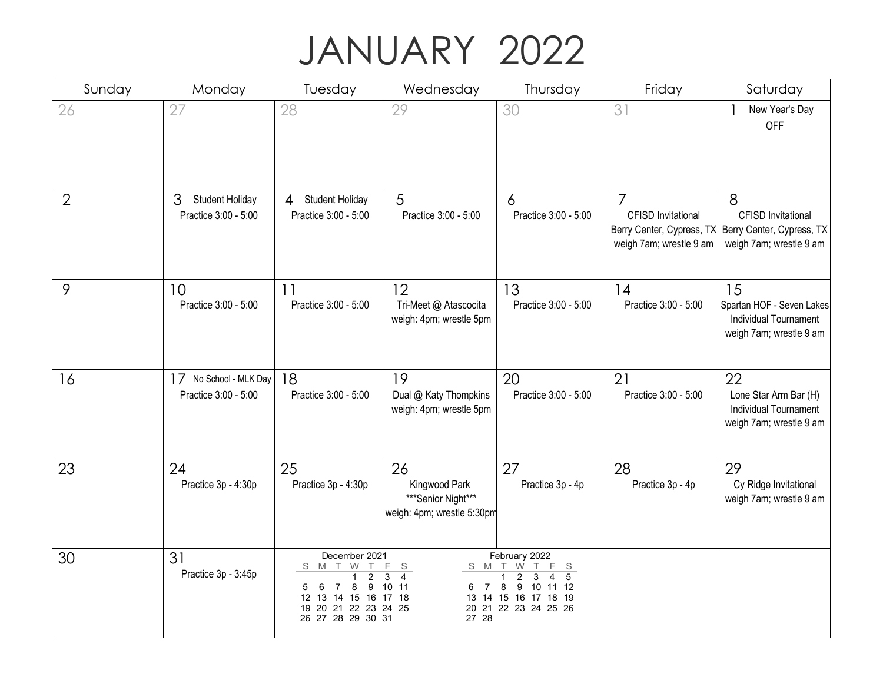## JANUARY 2022

| Sunday         | Monday                                              | Tuesday                                                                                                                            | Wednesday                                                               | Thursday                                                                                                                  | Friday                                                                                              | Saturday                                                                               |
|----------------|-----------------------------------------------------|------------------------------------------------------------------------------------------------------------------------------------|-------------------------------------------------------------------------|---------------------------------------------------------------------------------------------------------------------------|-----------------------------------------------------------------------------------------------------|----------------------------------------------------------------------------------------|
| 26             | 27                                                  | 28                                                                                                                                 | 29                                                                      | 30                                                                                                                        | 31                                                                                                  | New Year's Day<br><b>OFF</b>                                                           |
| $\overline{2}$ | 3<br><b>Student Holiday</b><br>Practice 3:00 - 5:00 | 4 Student Holiday<br>Practice 3:00 - 5:00                                                                                          | 5<br>Practice 3:00 - 5:00                                               | 6<br>Practice 3:00 - 5:00                                                                                                 | $\overline{7}$<br><b>CFISD Invitational</b><br>Berry Center, Cypress, TX<br>weigh 7am; wrestle 9 am | 8<br><b>CFISD Invitational</b><br>Berry Center, Cypress, TX<br>weigh 7am; wrestle 9 am |
| 9              | 10<br>Practice 3:00 - 5:00                          | 11<br>Practice 3:00 - 5:00                                                                                                         | 12<br>Tri-Meet @ Atascocita<br>weigh: 4pm; wrestle 5pm                  | 13<br>Practice 3:00 - 5:00                                                                                                | 14<br>Practice 3:00 - 5:00                                                                          | 15<br>Spartan HOF - Seven Lakes<br>Individual Tournament<br>weigh 7am; wrestle 9 am    |
| 16             | No School - MLK Day<br>17<br>Practice 3:00 - 5:00   | 18<br>Practice 3:00 - 5:00                                                                                                         | 19<br>Dual @ Katy Thompkins<br>weigh: 4pm; wrestle 5pm                  | 20<br>Practice 3:00 - 5:00                                                                                                | 21<br>Practice 3:00 - 5:00                                                                          | 22<br>Lone Star Arm Bar (H)<br><b>Individual Tournament</b><br>weigh 7am; wrestle 9 am |
| 23             | 24<br>Practice 3p - 4:30p                           | 25<br>Practice 3p - 4:30p                                                                                                          | 26<br>Kingwood Park<br>***Senior Night***<br>weigh: 4pm; wrestle 5:30pm | 27<br>Practice 3p - 4p                                                                                                    | 28<br>Practice 3p - 4p                                                                              | 29<br>Cy Ridge Invitational<br>weigh 7am; wrestle 9 am                                 |
| 30             | 31<br>Practice 3p - 3:45p                           | December 2021<br>T W<br>S M<br>2<br>8<br>9<br>-6<br>5<br>7<br>14 15 16 17 18<br>12 13<br>19 20 21 22 23 24 25<br>26 27 28 29 30 31 | F<br>S<br>$\overline{4}$<br>3<br>10 11<br>$\overline{7}$<br>6<br>27 28  | February 2022<br>S M T W<br>F<br>S<br>2<br>5<br>3<br>4<br>8<br>9 10 11 12<br>13 14 15 16 17 18 19<br>20 21 22 23 24 25 26 |                                                                                                     |                                                                                        |